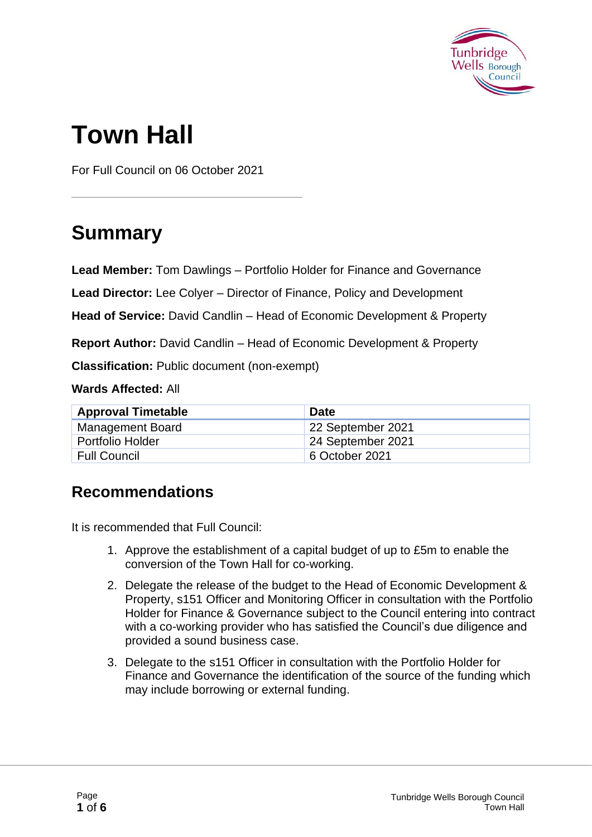

# **Town Hall**

For Full Council on 06 October 2021

## **Summary**

**Lead Member:** Tom Dawlings – Portfolio Holder for Finance and Governance

**Lead Director:** Lee Colyer – Director of Finance, Policy and Development

**Head of Service:** David Candlin – Head of Economic Development & Property

**Report Author:** David Candlin – Head of Economic Development & Property

**Classification:** Public document (non-exempt)

**Wards Affected:** All

| <b>Approval Timetable</b> | <b>Date</b>       |
|---------------------------|-------------------|
| <b>Management Board</b>   | 22 September 2021 |
| <b>Portfolio Holder</b>   | 24 September 2021 |
| <b>Full Council</b>       | 6 October 2021    |

#### **Recommendations**

It is recommended that Full Council:

- 1. Approve the establishment of a capital budget of up to £5m to enable the conversion of the Town Hall for co-working.
- 2. Delegate the release of the budget to the Head of Economic Development & Property, s151 Officer and Monitoring Officer in consultation with the Portfolio Holder for Finance & Governance subject to the Council entering into contract with a co-working provider who has satisfied the Council's due diligence and provided a sound business case.
- 3. Delegate to the s151 Officer in consultation with the Portfolio Holder for Finance and Governance the identification of the source of the funding which may include borrowing or external funding.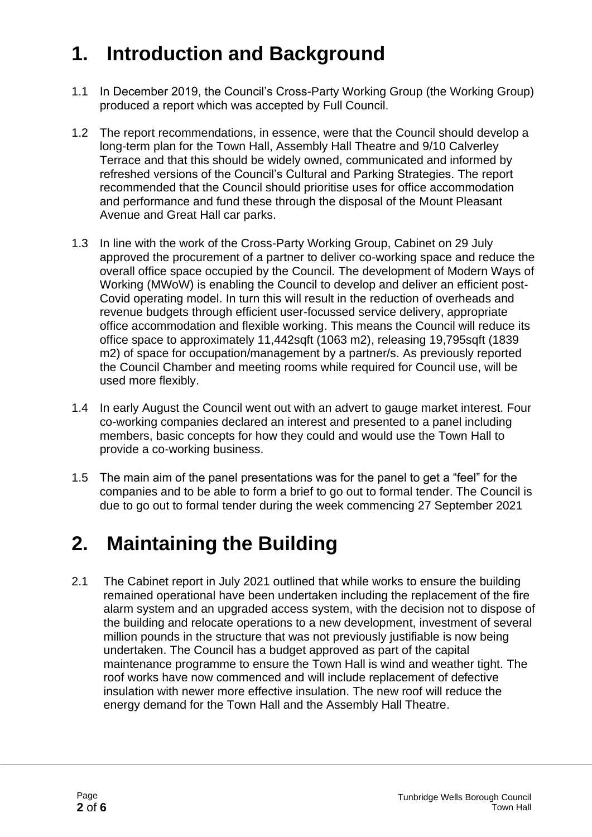## **1. Introduction and Background**

- 1.1 In December 2019, the Council's Cross-Party Working Group (the Working Group) produced a report which was accepted by Full Council.
- 1.2 The report recommendations, in essence, were that the Council should develop a long-term plan for the Town Hall, Assembly Hall Theatre and 9/10 Calverley Terrace and that this should be widely owned, communicated and informed by refreshed versions of the Council's Cultural and Parking Strategies. The report recommended that the Council should prioritise uses for office accommodation and performance and fund these through the disposal of the Mount Pleasant Avenue and Great Hall car parks.
- 1.3 In line with the work of the Cross-Party Working Group, Cabinet on 29 July approved the procurement of a partner to deliver co-working space and reduce the overall office space occupied by the Council. The development of Modern Ways of Working (MWoW) is enabling the Council to develop and deliver an efficient post-Covid operating model. In turn this will result in the reduction of overheads and revenue budgets through efficient user-focussed service delivery, appropriate office accommodation and flexible working. This means the Council will reduce its office space to approximately 11,442sqft (1063 m2), releasing 19,795sqft (1839 m2) of space for occupation/management by a partner/s. As previously reported the Council Chamber and meeting rooms while required for Council use, will be used more flexibly.
- 1.4 In early August the Council went out with an advert to gauge market interest. Four co-working companies declared an interest and presented to a panel including members, basic concepts for how they could and would use the Town Hall to provide a co-working business.
- 1.5 The main aim of the panel presentations was for the panel to get a "feel" for the companies and to be able to form a brief to go out to formal tender. The Council is due to go out to formal tender during the week commencing 27 September 2021

### **2. Maintaining the Building**

2.1 The Cabinet report in July 2021 outlined that while works to ensure the building remained operational have been undertaken including the replacement of the fire alarm system and an upgraded access system, with the decision not to dispose of the building and relocate operations to a new development, investment of several million pounds in the structure that was not previously justifiable is now being undertaken. The Council has a budget approved as part of the capital maintenance programme to ensure the Town Hall is wind and weather tight. The roof works have now commenced and will include replacement of defective insulation with newer more effective insulation. The new roof will reduce the energy demand for the Town Hall and the Assembly Hall Theatre.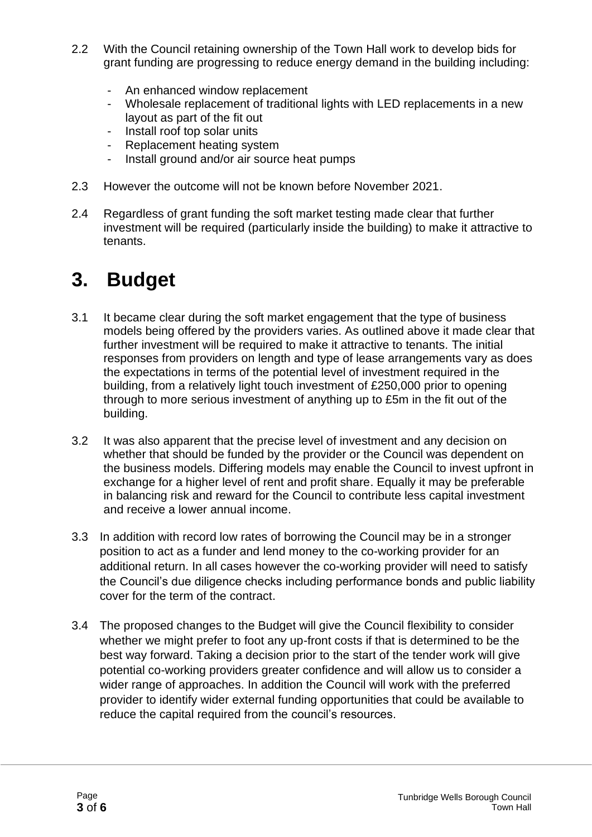- 2.2 With the Council retaining ownership of the Town Hall work to develop bids for grant funding are progressing to reduce energy demand in the building including:
	- An enhanced window replacement
	- Wholesale replacement of traditional lights with LED replacements in a new layout as part of the fit out
	- Install roof top solar units
	- Replacement heating system
	- Install ground and/or air source heat pumps
- 2.3 However the outcome will not be known before November 2021.
- 2.4 Regardless of grant funding the soft market testing made clear that further investment will be required (particularly inside the building) to make it attractive to tenants.

### **3. Budget**

- 3.1 It became clear during the soft market engagement that the type of business models being offered by the providers varies. As outlined above it made clear that further investment will be required to make it attractive to tenants. The initial responses from providers on length and type of lease arrangements vary as does the expectations in terms of the potential level of investment required in the building, from a relatively light touch investment of £250,000 prior to opening through to more serious investment of anything up to £5m in the fit out of the building.
- 3.2 It was also apparent that the precise level of investment and any decision on whether that should be funded by the provider or the Council was dependent on the business models. Differing models may enable the Council to invest upfront in exchange for a higher level of rent and profit share. Equally it may be preferable in balancing risk and reward for the Council to contribute less capital investment and receive a lower annual income.
- 3.3 In addition with record low rates of borrowing the Council may be in a stronger position to act as a funder and lend money to the co-working provider for an additional return. In all cases however the co-working provider will need to satisfy the Council's due diligence checks including performance bonds and public liability cover for the term of the contract.
- 3.4 The proposed changes to the Budget will give the Council flexibility to consider whether we might prefer to foot any up-front costs if that is determined to be the best way forward. Taking a decision prior to the start of the tender work will give potential co-working providers greater confidence and will allow us to consider a wider range of approaches. In addition the Council will work with the preferred provider to identify wider external funding opportunities that could be available to reduce the capital required from the council's resources.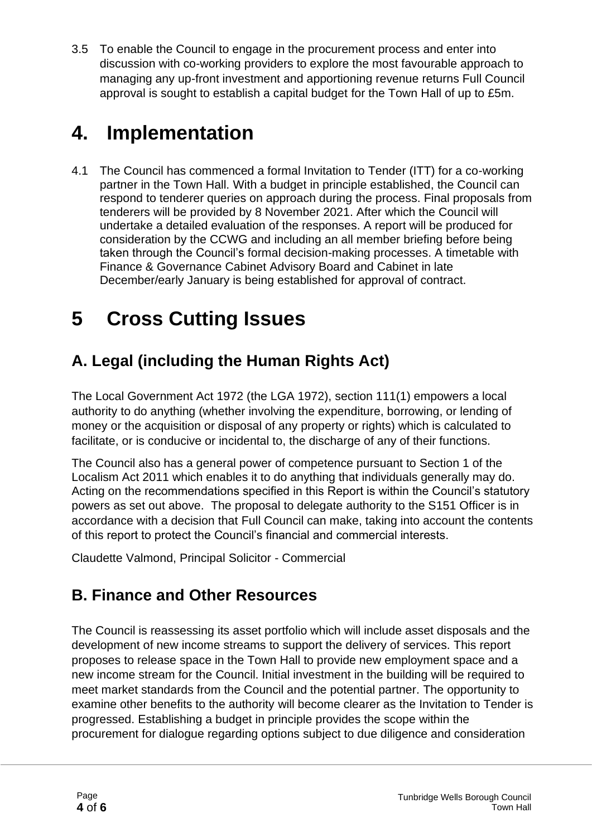3.5 To enable the Council to engage in the procurement process and enter into discussion with co-working providers to explore the most favourable approach to managing any up-front investment and apportioning revenue returns Full Council approval is sought to establish a capital budget for the Town Hall of up to £5m.

## **4. Implementation**

4.1 The Council has commenced a formal Invitation to Tender (ITT) for a co-working partner in the Town Hall. With a budget in principle established, the Council can respond to tenderer queries on approach during the process. Final proposals from tenderers will be provided by 8 November 2021. After which the Council will undertake a detailed evaluation of the responses. A report will be produced for consideration by the CCWG and including an all member briefing before being taken through the Council's formal decision-making processes. A timetable with Finance & Governance Cabinet Advisory Board and Cabinet in late December/early January is being established for approval of contract.

## **5 Cross Cutting Issues**

#### **A. Legal (including the Human Rights Act)**

The Local Government Act 1972 (the LGA 1972), section 111(1) empowers a local authority to do anything (whether involving the expenditure, borrowing, or lending of money or the acquisition or disposal of any property or rights) which is calculated to facilitate, or is conducive or incidental to, the discharge of any of their functions.

The Council also has a general power of competence pursuant to Section 1 of the Localism Act 2011 which enables it to do anything that individuals generally may do. Acting on the recommendations specified in this Report is within the Council's statutory powers as set out above. The proposal to delegate authority to the S151 Officer is in accordance with a decision that Full Council can make, taking into account the contents of this report to protect the Council's financial and commercial interests.

Claudette Valmond, Principal Solicitor - Commercial

#### **B. Finance and Other Resources**

The Council is reassessing its asset portfolio which will include asset disposals and the development of new income streams to support the delivery of services. This report proposes to release space in the Town Hall to provide new employment space and a new income stream for the Council. Initial investment in the building will be required to meet market standards from the Council and the potential partner. The opportunity to examine other benefits to the authority will become clearer as the Invitation to Tender is progressed. Establishing a budget in principle provides the scope within the procurement for dialogue regarding options subject to due diligence and consideration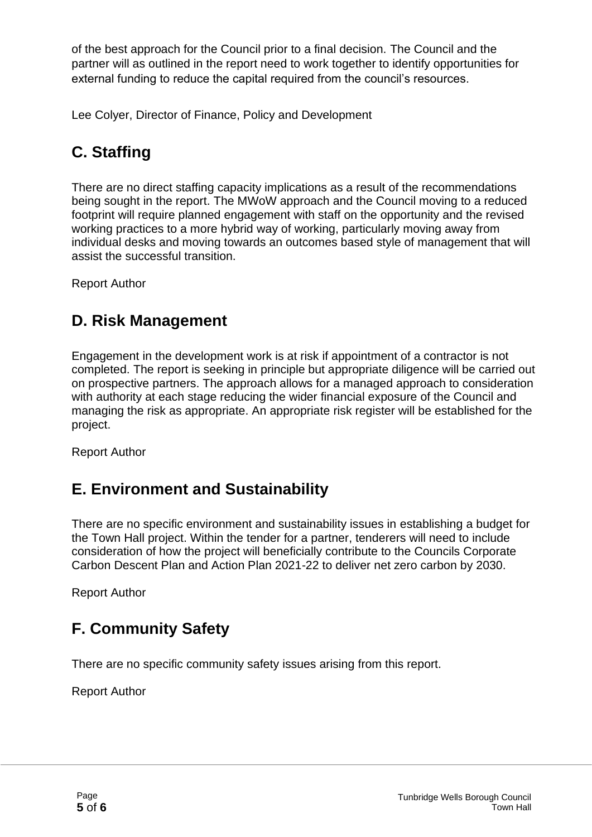of the best approach for the Council prior to a final decision. The Council and the partner will as outlined in the report need to work together to identify opportunities for external funding to reduce the capital required from the council's resources.

Lee Colyer, Director of Finance, Policy and Development

#### **C. Staffing**

There are no direct staffing capacity implications as a result of the recommendations being sought in the report. The MWoW approach and the Council moving to a reduced footprint will require planned engagement with staff on the opportunity and the revised working practices to a more hybrid way of working, particularly moving away from individual desks and moving towards an outcomes based style of management that will assist the successful transition.

Report Author

#### **D. Risk Management**

Engagement in the development work is at risk if appointment of a contractor is not completed. The report is seeking in principle but appropriate diligence will be carried out on prospective partners. The approach allows for a managed approach to consideration with authority at each stage reducing the wider financial exposure of the Council and managing the risk as appropriate. An appropriate risk register will be established for the project.

Report Author

#### **E. Environment and Sustainability**

There are no specific environment and sustainability issues in establishing a budget for the Town Hall project. Within the tender for a partner, tenderers will need to include consideration of how the project will beneficially contribute to the Councils Corporate Carbon Descent Plan and Action Plan 2021-22 to deliver net zero carbon by 2030.

Report Author

#### **F. Community Safety**

There are no specific community safety issues arising from this report.

Report Author